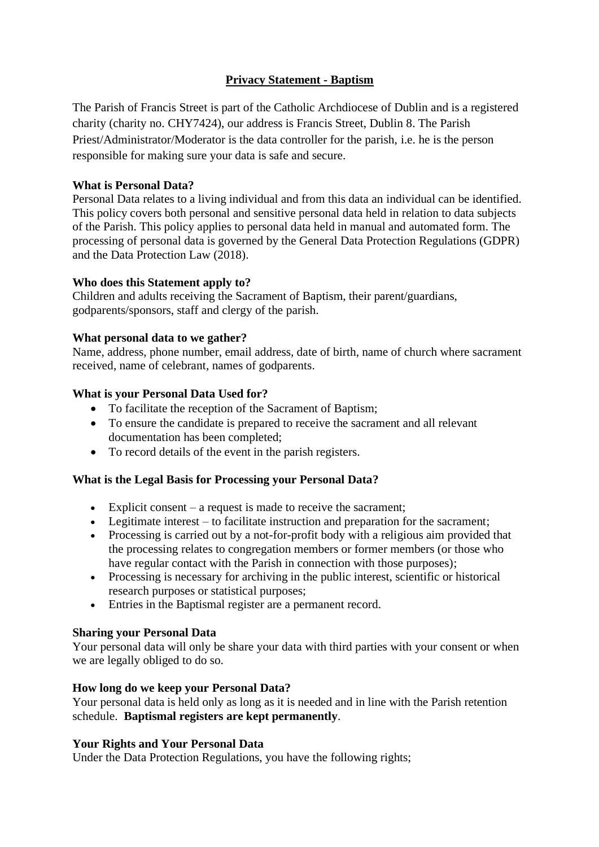# **Privacy Statement - Baptism**

The Parish of Francis Street is part of the Catholic Archdiocese of Dublin and is a registered charity (charity no. CHY7424), our address is Francis Street, Dublin 8. The Parish Priest/Administrator/Moderator is the data controller for the parish, i.e. he is the person responsible for making sure your data is safe and secure.

## **What is Personal Data?**

Personal Data relates to a living individual and from this data an individual can be identified. This policy covers both personal and sensitive personal data held in relation to data subjects of the Parish. This policy applies to personal data held in manual and automated form. The processing of personal data is governed by the General Data Protection Regulations (GDPR) and the Data Protection Law (2018).

### **Who does this Statement apply to?**

Children and adults receiving the Sacrament of Baptism, their parent/guardians, godparents/sponsors, staff and clergy of the parish.

# **What personal data to we gather?**

Name, address, phone number, email address, date of birth, name of church where sacrament received, name of celebrant, names of godparents.

# **What is your Personal Data Used for?**

- To facilitate the reception of the Sacrament of Baptism;
- To ensure the candidate is prepared to receive the sacrament and all relevant documentation has been completed;
- To record details of the event in the parish registers.

### **What is the Legal Basis for Processing your Personal Data?**

- Explicit consent a request is made to receive the sacrament;
- Legitimate interest to facilitate instruction and preparation for the sacrament;
- Processing is carried out by a not-for-profit body with a religious aim provided that the processing relates to congregation members or former members (or those who have regular contact with the Parish in connection with those purposes);
- Processing is necessary for archiving in the public interest, scientific or historical research purposes or statistical purposes;
- Entries in the Baptismal register are a permanent record.

### **Sharing your Personal Data**

Your personal data will only be share your data with third parties with your consent or when we are legally obliged to do so.

### **How long do we keep your Personal Data?**

Your personal data is held only as long as it is needed and in line with the Parish retention schedule. **Baptismal registers are kept permanently**.

### **Your Rights and Your Personal Data**

Under the Data Protection Regulations, you have the following rights;